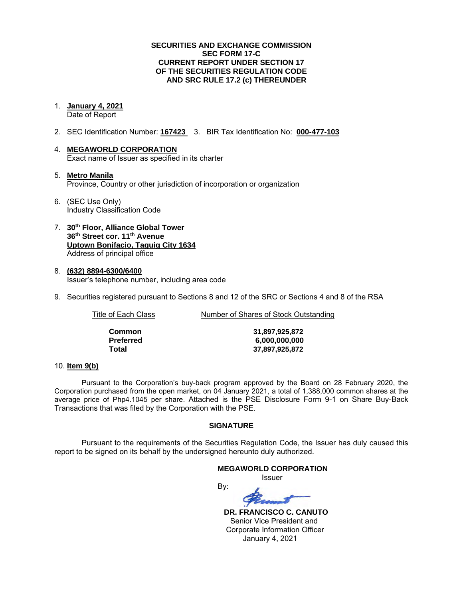### **SECURITIES AND EXCHANGE COMMISSION SEC FORM 17-C CURRENT REPORT UNDER SECTION 17 OF THE SECURITIES REGULATION CODE AND SRC RULE 17.2 (c) THEREUNDER**

1. **January 4, 2021**

Date of Report

- 2. SEC Identification Number: **167423** 3. BIR Tax Identification No: **000-477-103**
- 4. **MEGAWORLD CORPORATION** Exact name of Issuer as specified in its charter
- 5. **Metro Manila** Province, Country or other jurisdiction of incorporation or organization
- 6. (SEC Use Only) Industry Classification Code
- 7. **30th Floor, Alliance Global Tower 36th Street cor. 11th Avenue Uptown Bonifacio, Taguig City 1634** Address of principal office
- 8. **(632) 8894-6300/6400** Issuer's telephone number, including area code
- 9. Securities registered pursuant to Sections 8 and 12 of the SRC or Sections 4 and 8 of the RSA

Title of Each Class Number of Shares of Stock Outstanding

| Common    |
|-----------|
| Preferred |
| Total     |

**Common 31,897,925,872 Preferred 6,000,000,000 Total 37,897,925,872**

### 10. **Item 9(b)**

Pursuant to the Corporation's buy-back program approved by the Board on 28 February 2020, the Corporation purchased from the open market, on 04 January 2021, a total of 1,388,000 common shares at the average price of Php4.1045 per share. Attached is the PSE Disclosure Form 9-1 on Share Buy-Back Transactions that was filed by the Corporation with the PSE.

### **SIGNATURE**

Pursuant to the requirements of the Securities Regulation Code, the Issuer has duly caused this report to be signed on its behalf by the undersigned hereunto duly authorized.

## **MEGAWORLD CORPORATION** Issuer

By:

 **DR. FRANCISCO C. CANUTO** Senior Vice President and Corporate Information Officer January 4, 2021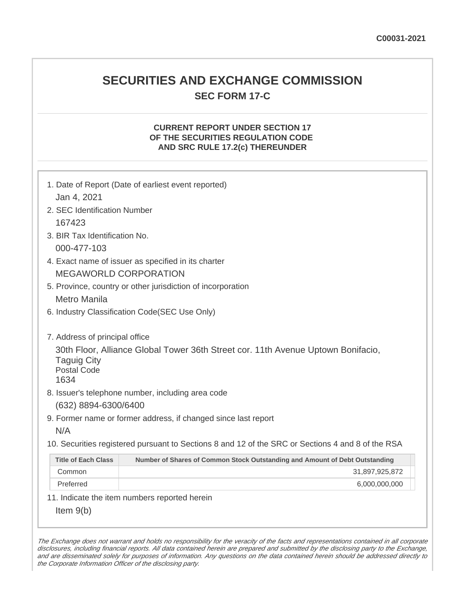## **SECURITIES AND EXCHANGE COMMISSION SEC FORM 17-C**

## **CURRENT REPORT UNDER SECTION 17 OF THE SECURITIES REGULATION CODE AND SRC RULE 17.2(c) THEREUNDER**

| Jan 4, 2021                                      | 1. Date of Report (Date of earliest event reported)                                               |
|--------------------------------------------------|---------------------------------------------------------------------------------------------------|
| 2. SEC Identification Number                     |                                                                                                   |
| 167423                                           |                                                                                                   |
| 3. BIR Tax Identification No.                    |                                                                                                   |
| 000-477-103                                      |                                                                                                   |
|                                                  | 4. Exact name of issuer as specified in its charter                                               |
|                                                  | <b>MEGAWORLD CORPORATION</b>                                                                      |
|                                                  | 5. Province, country or other jurisdiction of incorporation                                       |
| <b>Metro Manila</b>                              |                                                                                                   |
|                                                  | 6. Industry Classification Code(SEC Use Only)                                                     |
|                                                  |                                                                                                   |
| 7. Address of principal office                   |                                                                                                   |
| <b>Taguig City</b><br><b>Postal Code</b><br>1634 | 30th Floor, Alliance Global Tower 36th Street cor. 11th Avenue Uptown Bonifacio,                  |
|                                                  | 8. Issuer's telephone number, including area code                                                 |
| (632) 8894-6300/6400                             |                                                                                                   |
|                                                  | 9. Former name or former address, if changed since last report                                    |
| N/A                                              |                                                                                                   |
|                                                  | 10. Securities registered pursuant to Sections 8 and 12 of the SRC or Sections 4 and 8 of the RSA |
| <b>Title of Each Class</b>                       | Number of Shares of Common Stock Outstanding and Amount of Debt Outstanding                       |
| Common                                           | 31,897,925,872                                                                                    |
| Preferred                                        | 6,000,000,000                                                                                     |
|                                                  | 11. Indicate the item numbers reported herein                                                     |
| Item $9(b)$                                      |                                                                                                   |

The Exchange does not warrant and holds no responsibility for the veracity of the facts and representations contained in all corporate disclosures, including financial reports. All data contained herein are prepared and submitted by the disclosing party to the Exchange, and are disseminated solely for purposes of information. Any questions on the data contained herein should be addressed directly to the Corporate Information Officer of the disclosing party.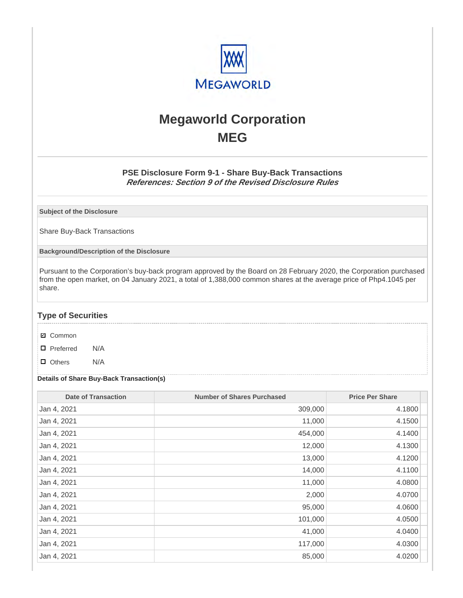

# **Megaworld Corporation MEG**

## **PSE Disclosure Form 9-1 - Share Buy-Back Transactions References: Section 9 of the Revised Disclosure Rules**

**Subject of the Disclosure**

Share Buy-Back Transactions

**Background/Description of the Disclosure**

Pursuant to the Corporation's buy-back program approved by the Board on 28 February 2020, the Corporation purchased from the open market, on 04 January 2021, a total of 1,388,000 common shares at the average price of Php4.1045 per share.

### **Type of Securities**

- **☑** Common
- □ Preferred N/A
- D Others N/A

#### **Details of Share Buy-Back Transaction(s)**

| <b>Date of Transaction</b> | <b>Number of Shares Purchased</b> | <b>Price Per Share</b> |
|----------------------------|-----------------------------------|------------------------|
| Jan 4, 2021                | 309,000                           | 4.1800                 |
| Jan 4, 2021                | 11,000                            | 4.1500                 |
| Jan 4, 2021                | 454,000                           | 4.1400                 |
| Jan 4, 2021                | 12,000                            | 4.1300                 |
| Jan 4, 2021                | 13,000                            | 4.1200                 |
| Jan 4, 2021                | 14,000                            | 4.1100                 |
| Jan 4, 2021                | 11,000                            | 4.0800                 |
| Jan 4, 2021                | 2,000                             | 4.0700                 |
| Jan 4, 2021                | 95,000                            | 4.0600                 |
| Jan 4, 2021                | 101,000                           | 4.0500                 |
| Jan 4, 2021                | 41,000                            | 4.0400                 |
| Jan 4, 2021                | 117,000                           | 4.0300                 |
| Jan 4, 2021                | 85,000                            | 4.0200                 |